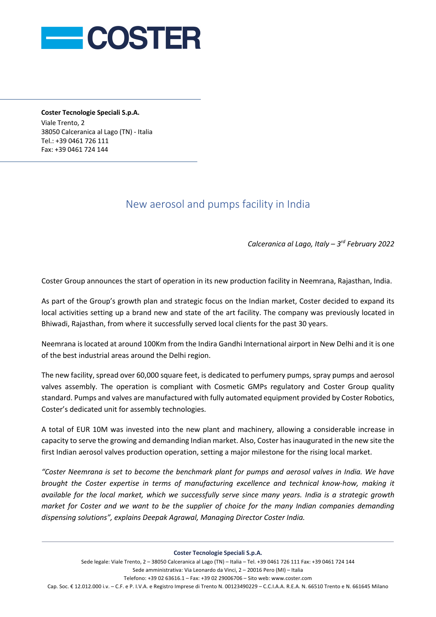

**Coster Tecnologie Speciali S.p.A.** Viale Trento, 2 38050 Calceranica al Lago (TN) - Italia Tel.: +39 0461 726 111 Fax: +39 0461 724 144

## New aerosol and pumps facility in India

*Calceranica al Lago, Italy – 3rd February 2022*

Coster Group announces the start of operation in its new production facility in Neemrana, Rajasthan, India.

As part of the Group's growth plan and strategic focus on the Indian market, Coster decided to expand its local activities setting up a brand new and state of the art facility. The company was previously located in Bhiwadi, Rajasthan, from where it successfully served local clients for the past 30 years.

Neemrana is located at around 100Km from the Indira Gandhi International airport in New Delhi and it is one of the best industrial areas around the Delhi region.

The new facility, spread over 60,000 square feet, is dedicated to perfumery pumps, spray pumps and aerosol valves assembly. The operation is compliant with Cosmetic GMPs regulatory and Coster Group quality standard. Pumps and valves are manufactured with fully automated equipment provided by Coster Robotics, Coster's dedicated unit for assembly technologies.

A total of EUR 10M was invested into the new plant and machinery, allowing a considerable increase in capacity to serve the growing and demanding Indian market. Also, Coster has inaugurated in the new site the first Indian aerosol valves production operation, setting a major milestone for the rising local market.

*"Coster Neemrana is set to become the benchmark plant for pumps and aerosol valves in India. We have brought the Coster expertise in terms of manufacturing excellence and technical know-how, making it available for the local market, which we successfully serve since many years. India is a strategic growth market for Coster and we want to be the supplier of choice for the many Indian companies demanding dispensing solutions", explains Deepak Agrawal, Managing Director Coster India.* 

**Coster Tecnologie Speciali S.p.A.**